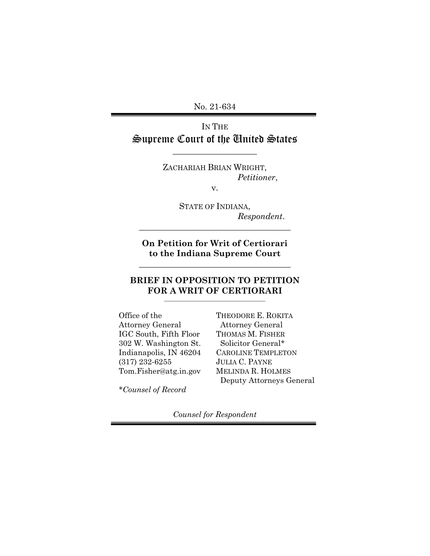No. 21-634

# IN THE Supreme Court of the United States

\_\_\_\_\_\_\_\_\_\_\_\_\_\_\_\_\_\_\_\_

ZACHARIAH BRIAN WRIGHT, *Petitioner*,

v.

STATE OF INDIANA, *Respondent*.

**On Petition for Writ of Certiorari to the Indiana Supreme Court**

**\_\_\_\_\_\_\_\_\_\_\_\_\_\_\_\_\_\_\_\_\_\_\_\_\_\_\_\_\_\_\_\_\_\_\_\_**

**\_\_\_\_\_\_\_\_\_\_\_\_\_\_\_\_\_\_\_\_\_\_\_\_\_\_\_\_\_\_\_\_\_\_\_\_**

#### **BRIEF IN OPPOSITION TO PETITION FOR A WRIT OF CERTIORARI \_\_\_\_\_\_\_\_\_\_\_\_\_\_\_\_\_\_\_\_\_\_\_\_\_\_\_\_\_\_\_\_\_\_\_\_**

Office of the Attorney General IGC South, Fifth Floor 302 W. Washington St. Indianapolis, IN 46204 (317) 232-6255 [Tom.Fisher@atg.in.gov](mailto:Tom.Fisher@atg.in.gov)

THEODORE E. ROKITA Attorney General THOMAS M. FISHER Solicitor General\* CAROLINE TEMPLETON JULIA C. PAYNE MELINDA R. HOLMES Deputy Attorneys General

*\*Counsel of Record*

*Counsel for Respondent*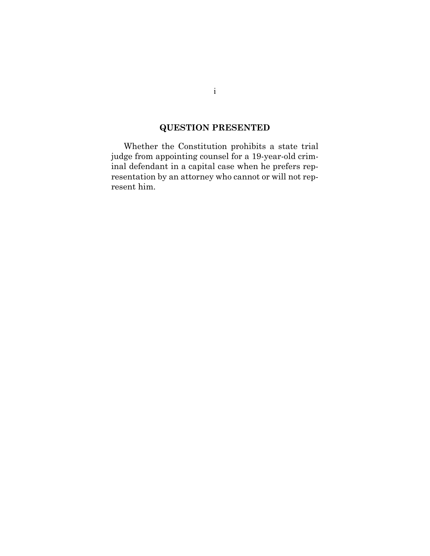# **QUESTION PRESENTED**

Whether the Constitution prohibits a state trial judge from appointing counsel for a 19-year-old criminal defendant in a capital case when he prefers representation by an attorney who cannot or will not represent him.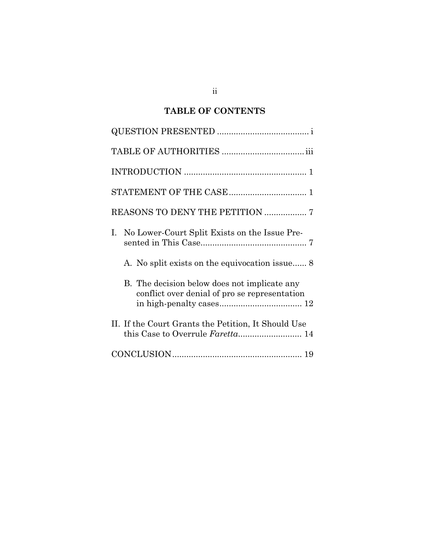# **TABLE OF CONTENTS**

| REASONS TO DENY THE PETITION  7                                                               |
|-----------------------------------------------------------------------------------------------|
| I. No Lower-Court Split Exists on the Issue Pre-                                              |
| A. No split exists on the equivocation issue 8                                                |
| B. The decision below does not implicate any<br>conflict over denial of pro se representation |
| II. If the Court Grants the Petition, It Should Use<br>this Case to Overrule Faretta 14       |
|                                                                                               |

ii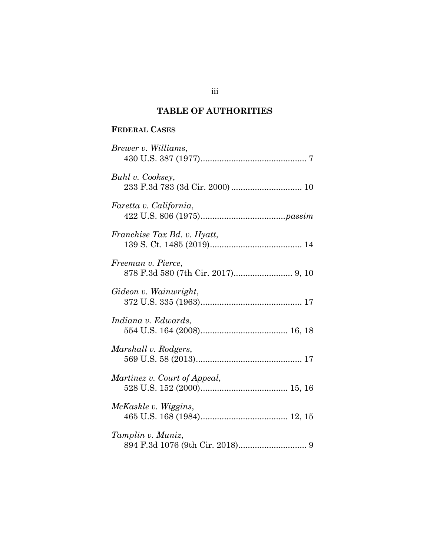# **TABLE OF AUTHORITIES**

## **FEDERAL CASES**

| Brewer v. Williams,          |
|------------------------------|
| Buhl v. Cooksey,             |
| Faretta v. California,       |
| Franchise Tax Bd. v. Hyatt,  |
| Freeman v. Pierce,           |
| Gideon v. Wainwright,        |
| Indiana v. Edwards,          |
| Marshall v. Rodgers,         |
| Martinez v. Court of Appeal, |
| McKaskle v. Wiggins,         |
| Tamplin v. Muniz,            |

iii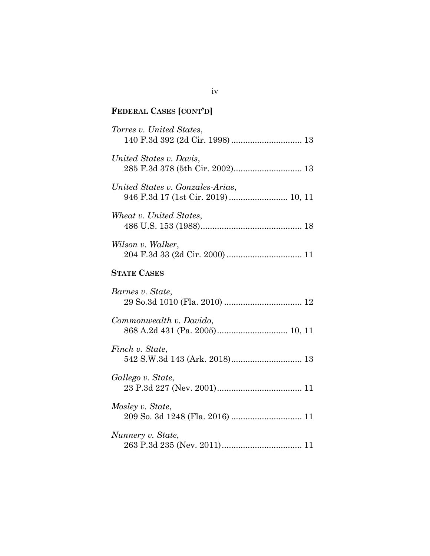# **FEDERAL CASES [CONT'D]**

| Torres v. United States,<br>140 F.3d 392 (2d Cir. 1998) 13             |
|------------------------------------------------------------------------|
| United States v. Davis,<br>285 F.3d 378 (5th Cir. 2002) 13             |
| United States v. Gonzales-Arias,<br>946 F.3d 17 (1st Cir. 2019) 10, 11 |
| Wheat v. United States,                                                |
| Wilson v. Walker,                                                      |
| <b>STATE CASES</b>                                                     |
| Barnes v. State,                                                       |
| Commonwealth v. Davido,                                                |
| Finch v. State,<br>542 S.W.3d 143 (Ark. 2018) 13                       |
| Gallego v. State,                                                      |
| Mosley v. State,                                                       |
| Nunnery v. State,                                                      |

iv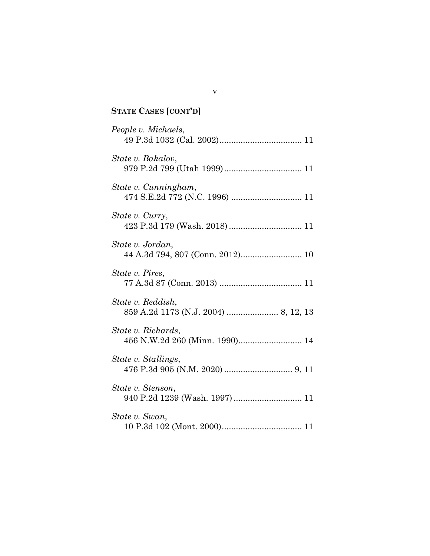# **STATE CASES [CONT'D]**

| People v. Michaels,                                  |
|------------------------------------------------------|
| State v. Bakalov,                                    |
| State v. Cunningham,                                 |
| State v. Curry,<br>423 P.3d 179 (Wash. 2018) 11      |
| State v. Jordan,<br>44 A.3d 794, 807 (Conn. 2012) 10 |
| State v. Pires,                                      |
| State v. Reddish,                                    |
| State v. Richards,<br>456 N.W.2d 260 (Minn. 1990) 14 |
| State v. Stallings,                                  |
| State v. Stenson,<br>940 P.2d 1239 (Wash. 1997)  11  |
| State v. Swan,                                       |

v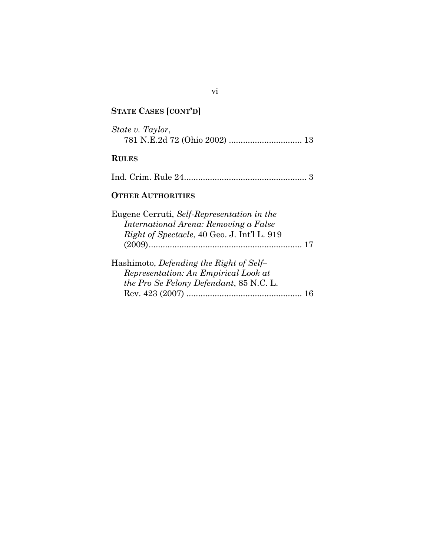# **STATE CASES [CONT'D]**

| State v. Taylor,                                                                                                                          |
|-------------------------------------------------------------------------------------------------------------------------------------------|
| <b>RULES</b>                                                                                                                              |
|                                                                                                                                           |
| <b>OTHER AUTHORITIES</b>                                                                                                                  |
| Eugene Cerruti, Self-Representation in the<br>International Arena: Removing a False<br><i>Right of Spectacle, 40 Geo. J. Int'l L. 919</i> |
| Hashimoto, <i>Defending the Right of Self-</i><br>Representation: An Empirical Look at<br><i>the Pro Se Felony Defendant, 85 N.C. L.</i>  |

vi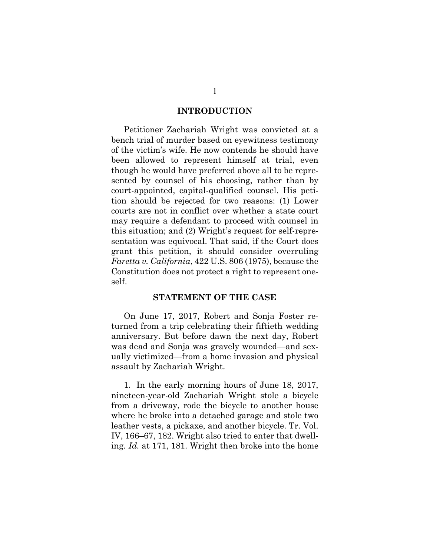#### **INTRODUCTION**

Petitioner Zachariah Wright was convicted at a bench trial of murder based on eyewitness testimony of the victim's wife. He now contends he should have been allowed to represent himself at trial, even though he would have preferred above all to be represented by counsel of his choosing, rather than by court-appointed, capital-qualified counsel. His petition should be rejected for two reasons: (1) Lower courts are not in conflict over whether a state court may require a defendant to proceed with counsel in this situation; and (2) Wright's request for self-representation was equivocal. That said, if the Court does grant this petition, it should consider overruling *Faretta v. California*, 422 U.S. 806 (1975), because the Constitution does not protect a right to represent oneself.

#### <span id="page-7-0"></span>**STATEMENT OF THE CASE**

On June 17, 2017, Robert and Sonja Foster returned from a trip celebrating their fiftieth wedding anniversary. But before dawn the next day, Robert was dead and Sonja was gravely wounded—and sexually victimized—from a home invasion and physical assault by Zachariah Wright.

1. In the early morning hours of June 18, 2017, nineteen-year-old Zachariah Wright stole a bicycle from a driveway, rode the bicycle to another house where he broke into a detached garage and stole two leather vests, a pickaxe, and another bicycle. Tr. Vol. IV, 166–67, 182. Wright also tried to enter that dwelling. *Id.* at 171, 181. Wright then broke into the home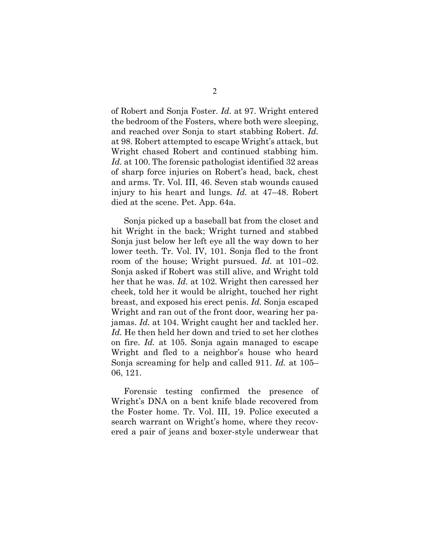of Robert and Sonja Foster. *Id.* at 97. Wright entered the bedroom of the Fosters, where both were sleeping, and reached over Sonja to start stabbing Robert. *Id.*  at 98. Robert attempted to escape Wright's attack, but Wright chased Robert and continued stabbing him. *Id.* at 100. The forensic pathologist identified 32 areas of sharp force injuries on Robert's head, back, chest and arms. Tr. Vol. III, 46. Seven stab wounds caused injury to his heart and lungs. *Id.* at 47–48. Robert died at the scene. Pet. App. 64a.

Sonja picked up a baseball bat from the closet and hit Wright in the back; Wright turned and stabbed Sonja just below her left eye all the way down to her lower teeth. Tr. Vol. IV, 101. Sonja fled to the front room of the house; Wright pursued. *Id.* at 101–02. Sonja asked if Robert was still alive, and Wright told her that he was. *Id.* at 102. Wright then caressed her cheek, told her it would be alright, touched her right breast, and exposed his erect penis. *Id.* Sonja escaped Wright and ran out of the front door, wearing her pajamas. *Id.* at 104. Wright caught her and tackled her. Id. He then held her down and tried to set her clothes on fire. *Id.* at 105. Sonja again managed to escape Wright and fled to a neighbor's house who heard Sonja screaming for help and called 911. *Id.* at 105– 06, 121.

Forensic testing confirmed the presence of Wright's DNA on a bent knife blade recovered from the Foster home. Tr. Vol. III, 19. Police executed a search warrant on Wright's home, where they recovered a pair of jeans and boxer-style underwear that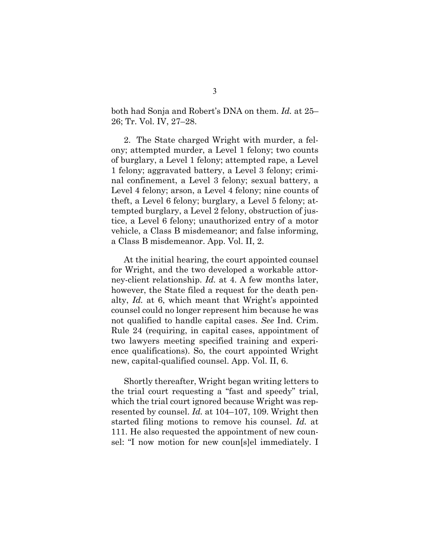both had Sonja and Robert's DNA on them. *Id.* at 25– 26; Tr. Vol. IV, 27–28.

2. The State charged Wright with murder, a felony; attempted murder, a Level 1 felony; two counts of burglary, a Level 1 felony; attempted rape, a Level 1 felony; aggravated battery, a Level 3 felony; criminal confinement, a Level 3 felony; sexual battery, a Level 4 felony; arson, a Level 4 felony; nine counts of theft, a Level 6 felony; burglary, a Level 5 felony; attempted burglary, a Level 2 felony, obstruction of justice, a Level 6 felony; unauthorized entry of a motor vehicle, a Class B misdemeanor; and false informing, a Class B misdemeanor. App. Vol. II, 2.

<span id="page-9-0"></span>At the initial hearing, the court appointed counsel for Wright, and the two developed a workable attorney-client relationship. *Id.* at 4. A few months later, however, the State filed a request for the death penalty, *Id.* at 6, which meant that Wright's appointed counsel could no longer represent him because he was not qualified to handle capital cases. *See* Ind. Crim. Rule 24 (requiring, in capital cases, appointment of two lawyers meeting specified training and experience qualifications). So, the court appointed Wright new, capital-qualified counsel. App. Vol. II, 6.

Shortly thereafter, Wright began writing letters to the trial court requesting a "fast and speedy" trial, which the trial court ignored because Wright was represented by counsel. *Id.* at 104–107, 109. Wright then started filing motions to remove his counsel. *Id.* at 111. He also requested the appointment of new counsel: "I now motion for new coun[s]el immediately. I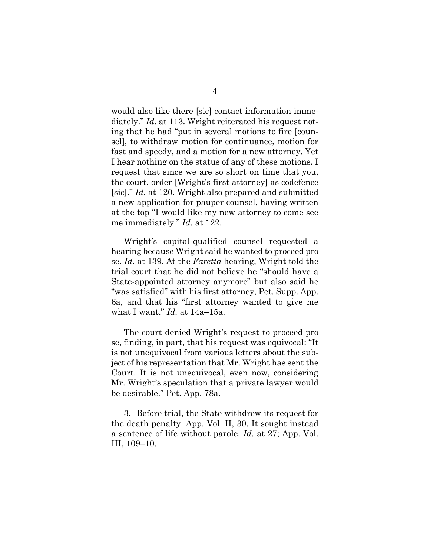would also like there [sic] contact information immediately." *Id.* at 113. Wright reiterated his request noting that he had "put in several motions to fire [counsel], to withdraw motion for continuance, motion for fast and speedy, and a motion for a new attorney. Yet I hear nothing on the status of any of these motions. I request that since we are so short on time that you, the court, order [Wright's first attorney] as codefence [sic]." *Id.* at 120. Wright also prepared and submitted a new application for pauper counsel, having written at the top "I would like my new attorney to come see me immediately." *Id.* at 122.

Wright's capital-qualified counsel requested a hearing because Wright said he wanted to proceed pro se. *Id.* at 139. At the *Faretta* hearing, Wright told the trial court that he did not believe he "should have a State-appointed attorney anymore" but also said he "was satisfied" with his first attorney, Pet. Supp. App. 6a, and that his "first attorney wanted to give me what I want." *Id.* at 14a–15a.

The court denied Wright's request to proceed pro se, finding, in part, that his request was equivocal: "It is not unequivocal from various letters about the subject of his representation that Mr. Wright has sent the Court. It is not unequivocal, even now, considering Mr. Wright's speculation that a private lawyer would be desirable." Pet. App. 78a.

3. Before trial, the State withdrew its request for the death penalty. App. Vol. II, 30. It sought instead a sentence of life without parole. *Id.* at 27; App. Vol. III, 109–10.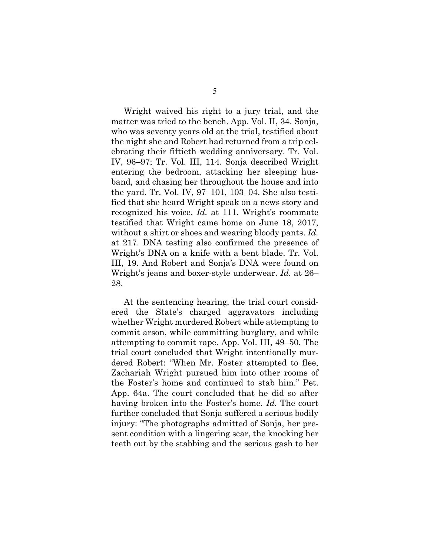Wright waived his right to a jury trial, and the matter was tried to the bench. App. Vol. II, 34. Sonja, who was seventy years old at the trial, testified about the night she and Robert had returned from a trip celebrating their fiftieth wedding anniversary. Tr. Vol. IV, 96–97; Tr. Vol. III, 114. Sonja described Wright entering the bedroom, attacking her sleeping husband, and chasing her throughout the house and into the yard. Tr. Vol. IV, 97–101, 103–04. She also testified that she heard Wright speak on a news story and recognized his voice. *Id.* at 111. Wright's roommate testified that Wright came home on June 18, 2017, without a shirt or shoes and wearing bloody pants. *Id.*  at 217. DNA testing also confirmed the presence of Wright's DNA on a knife with a bent blade. Tr. Vol. III, 19. And Robert and Sonja's DNA were found on Wright's jeans and boxer-style underwear. *Id.* at 26– 28.

At the sentencing hearing, the trial court considered the State's charged aggravators including whether Wright murdered Robert while attempting to commit arson, while committing burglary, and while attempting to commit rape. App. Vol. III, 49–50. The trial court concluded that Wright intentionally murdered Robert: "When Mr. Foster attempted to flee, Zachariah Wright pursued him into other rooms of the Foster's home and continued to stab him." Pet. App. 64a. The court concluded that he did so after having broken into the Foster's home. *Id.* The court further concluded that Sonja suffered a serious bodily injury: "The photographs admitted of Sonja, her present condition with a lingering scar, the knocking her teeth out by the stabbing and the serious gash to her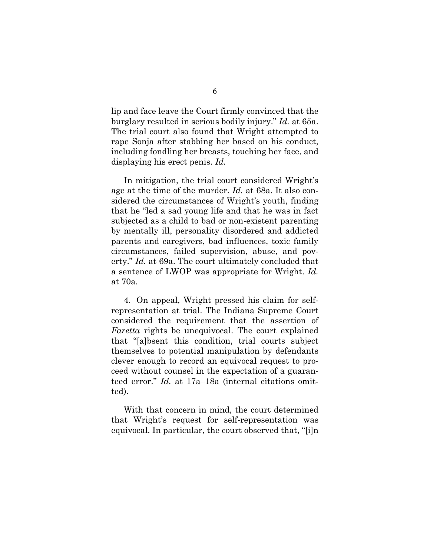lip and face leave the Court firmly convinced that the burglary resulted in serious bodily injury." *Id.* at 65a. The trial court also found that Wright attempted to rape Sonja after stabbing her based on his conduct, including fondling her breasts, touching her face, and displaying his erect penis. *Id.*

In mitigation, the trial court considered Wright's age at the time of the murder. *Id.* at 68a. It also considered the circumstances of Wright's youth, finding that he "led a sad young life and that he was in fact subjected as a child to bad or non-existent parenting by mentally ill, personality disordered and addicted parents and caregivers, bad influences, toxic family circumstances, failed supervision, abuse, and poverty." *Id.* at 69a. The court ultimately concluded that a sentence of LWOP was appropriate for Wright. *Id.* at 70a.

4. On appeal, Wright pressed his claim for selfrepresentation at trial. The Indiana Supreme Court considered the requirement that the assertion of *Faretta* rights be unequivocal. The court explained that "[a]bsent this condition, trial courts subject themselves to potential manipulation by defendants clever enough to record an equivocal request to proceed without counsel in the expectation of a guaranteed error." *Id.* at 17a–18a (internal citations omitted).

With that concern in mind, the court determined that Wright's request for self-representation was equivocal. In particular, the court observed that, "[i]n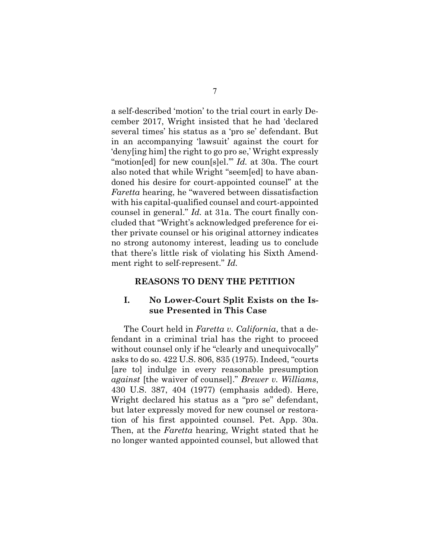a self-described 'motion' to the trial court in early December 2017, Wright insisted that he had 'declared several times' his status as a 'pro se' defendant. But in an accompanying 'lawsuit' against the court for 'deny[ing him] the right to go pro se,' Wright expressly "motion[ed] for new coun[s]el." *Id.* at 30a. The court also noted that while Wright "seem[ed] to have abandoned his desire for court-appointed counsel" at the *Faretta* hearing, he "wavered between dissatisfaction with his capital-qualified counsel and court-appointed counsel in general." *Id.* at 31a. The court finally concluded that "Wright's acknowledged preference for either private counsel or his original attorney indicates no strong autonomy interest, leading us to conclude that there's little risk of violating his Sixth Amendment right to self-represent." *Id.*

#### **REASONS TO DENY THE PETITION**

### **I. No Lower-Court Split Exists on the Issue Presented in This Case**

<span id="page-13-0"></span>The Court held in *Faretta v. California*, that a defendant in a criminal trial has the right to proceed without counsel only if he "clearly and unequivocally" asks to do so. 422 U.S. 806, 835 (1975). Indeed, "courts [are to] indulge in every reasonable presumption *against* [the waiver of counsel]." *Brewer v. Williams*, 430 U.S. 387, 404 (1977) (emphasis added). Here, Wright declared his status as a "pro se" defendant, but later expressly moved for new counsel or restoration of his first appointed counsel. Pet. App. 30a. Then, at the *Faretta* hearing, Wright stated that he no longer wanted appointed counsel, but allowed that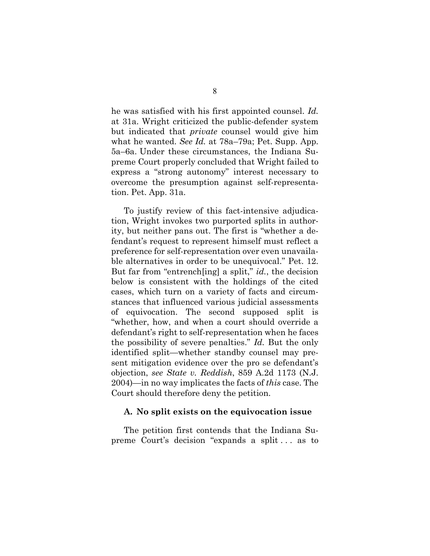he was satisfied with his first appointed counsel. *Id.* at 31a. Wright criticized the public-defender system but indicated that *private* counsel would give him what he wanted. *See Id.* at 78a–79a; Pet. Supp. App. 5a–6a. Under these circumstances, the Indiana Supreme Court properly concluded that Wright failed to express a "strong autonomy" interest necessary to overcome the presumption against self-representation. Pet. App. 31a.

To justify review of this fact-intensive adjudication, Wright invokes two purported splits in authority, but neither pans out. The first is "whether a defendant's request to represent himself must reflect a preference for self-representation over even unavailable alternatives in order to be unequivocal." Pet. 12. But far from "entrench[ing] a split," *id.*, the decision below is consistent with the holdings of the cited cases, which turn on a variety of facts and circumstances that influenced various judicial assessments of equivocation. The second supposed split is "whether, how, and when a court should override a defendant's right to self-representation when he faces the possibility of severe penalties." *Id.* But the only identified split—whether standby counsel may present mitigation evidence over the pro se defendant's objection, *see State v. Reddish*, 859 A.2d 1173 (N.J. 2004)—in no way implicates the facts of *this* case. The Court should therefore deny the petition.

#### <span id="page-14-0"></span>**A. No split exists on the equivocation issue**

The petition first contends that the Indiana Supreme Court's decision "expands a split . . . as to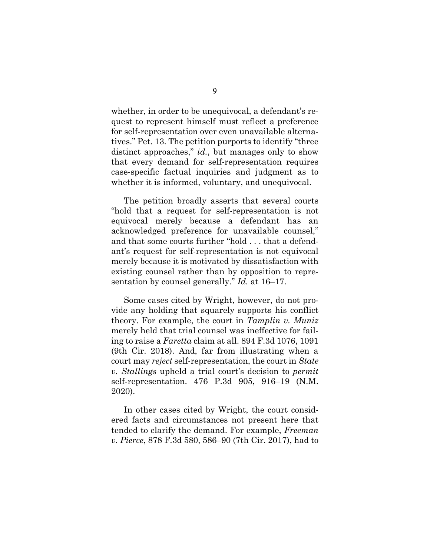whether, in order to be unequivocal, a defendant's request to represent himself must reflect a preference for self-representation over even unavailable alternatives." Pet. 13. The petition purports to identify "three distinct approaches," *id.*, but manages only to show that every demand for self-representation requires case-specific factual inquiries and judgment as to whether it is informed, voluntary, and unequivocal.

The petition broadly asserts that several courts "hold that a request for self-representation is not equivocal merely because a defendant has an acknowledged preference for unavailable counsel," and that some courts further "hold . . . that a defendant's request for self-representation is not equivocal merely because it is motivated by dissatisfaction with existing counsel rather than by opposition to representation by counsel generally." *Id.* at 16–17.

<span id="page-15-1"></span>Some cases cited by Wright, however, do not provide any holding that squarely supports his conflict theory. For example, the court in *Tamplin v. Muniz* merely held that trial counsel was ineffective for failing to raise a *Faretta* claim at all. 894 F.3d 1076, 1091 (9th Cir. 2018). And, far from illustrating when a court may *reject* self-representation, the court in *State v. Stallings* upheld a trial court's decision to *permit* self-representation. 476 P.3d 905, 916–19 (N.M. 2020).

<span id="page-15-2"></span><span id="page-15-0"></span>In other cases cited by Wright, the court considered facts and circumstances not present here that tended to clarify the demand. For example, *Freeman v. Pierce*, 878 F.3d 580, 586–90 (7th Cir. 2017), had to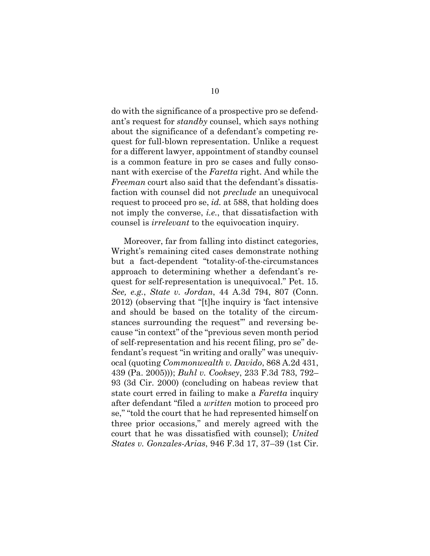do with the significance of a prospective pro se defendant's request for *standby* counsel, which says nothing about the significance of a defendant's competing request for full-blown representation. Unlike a request for a different lawyer, appointment of standby counsel is a common feature in pro se cases and fully consonant with exercise of the *Faretta* right. And while the *Freeman* court also said that the defendant's dissatisfaction with counsel did not *preclude* an unequivocal request to proceed pro se, *id.* at 588, that holding does not imply the converse, *i.e.*, that dissatisfaction with counsel is *irrelevant* to the equivocation inquiry.

<span id="page-16-4"></span><span id="page-16-3"></span><span id="page-16-2"></span><span id="page-16-1"></span><span id="page-16-0"></span>Moreover, far from falling into distinct categories, Wright's remaining cited cases demonstrate nothing but a fact-dependent "totality-of-the-circumstances approach to determining whether a defendant's request for self-representation is unequivocal." Pet. 15. *See, e.g.*, *State v. Jordan*, 44 A.3d 794, 807 (Conn. 2012) (observing that "[t]he inquiry is 'fact intensive and should be based on the totality of the circumstances surrounding the request" and reversing because "in context" of the "previous seven month period of self-representation and his recent filing, pro se" defendant's request "in writing and orally" was unequivocal (quoting *Commonwealth v. Davido*, 868 A.2d 431, 439 (Pa. 2005))); *Buhl v. Cooksey*, 233 F.3d 783, 792– 93 (3d Cir. 2000) (concluding on habeas review that state court erred in failing to make a *Faretta* inquiry after defendant "filed a *written* motion to proceed pro se," "told the court that he had represented himself on three prior occasions," and merely agreed with the court that he was dissatisfied with counsel); *United States v. Gonzales-Arias*, 946 F.3d 17, 37–39 (1st Cir.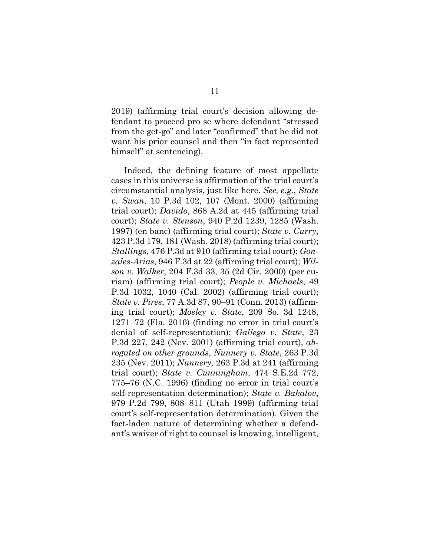2019) (affirming trial court's decision allowing defendant to proceed pro se where defendant "stressed from the get-go" and later "confirmed" that he did not want his prior counsel and then "in fact represented himself" at sentencing).

<span id="page-17-12"></span><span id="page-17-11"></span><span id="page-17-10"></span><span id="page-17-9"></span><span id="page-17-8"></span><span id="page-17-7"></span><span id="page-17-6"></span><span id="page-17-5"></span><span id="page-17-4"></span><span id="page-17-3"></span><span id="page-17-2"></span><span id="page-17-1"></span><span id="page-17-0"></span>Indeed, the defining feature of most appellate cases in this universe is affirmation of the trial court's circumstantial analysis, just like here. *See, e.g.*, *State v. Swan*, 10 P.3d 102, 107 (Mont. 2000) (affirming trial court); *Davido*, 868 A.2d at 445 (affirming trial court); *State v. Stenson*, 940 P.2d 1239, 1285 (Wash. 1997) (en banc) (affirming trial court); *State v. Curry*, 423 P.3d 179, 181 (Wash. 2018) (affirming trial court); *Stallings*, 476 P.3d at 910 (affirming trial court); *Gonzales-Arias*, 946 F.3d at 22 (affirming trial court); *Wilson v. Walker*, 204 F.3d 33, 35 (2d Cir. 2000) (per curiam) (affirming trial court); *People v. Michaels*, 49 P.3d 1032, 1040 (Cal. 2002) (affirming trial court); *State v. Pires*, 77 A.3d 87, 90–91 (Conn. 2013) (affirming trial court); *Mosley v. State*, 209 So. 3d 1248, 1271–72 (Fla. 2016) (finding no error in trial court's denial of self-representation); *Gallego v. State*, 23 P.3d 227, 242 (Nev. 2001) (affirming trial court), *abrogated on other grounds*, *Nunnery v. State*, 263 P.3d 235 (Nev. 2011); *Nunnery*, 263 P.3d at 241 (affirming trial court); *State v. Cunningham*, 474 S.E.2d 772, 775–76 (N.C. 1996) (finding no error in trial court's self-representation determination); *State v. Bakalov*, 979 P.2d 799, 808–811 (Utah 1999) (affirming trial court's self-representation determination). Given the fact-laden nature of determining whether a defendant's waiver of right to counsel is knowing, intelligent,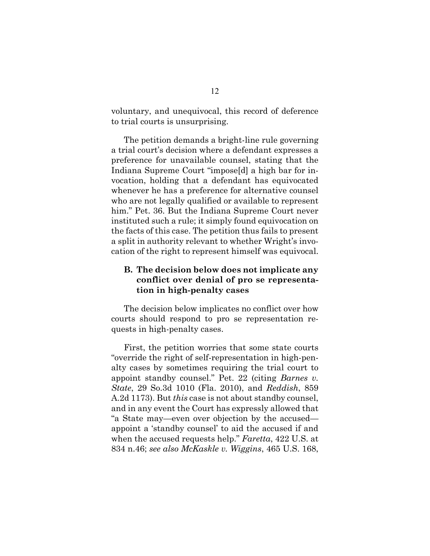voluntary, and unequivocal, this record of deference to trial courts is unsurprising.

The petition demands a bright-line rule governing a trial court's decision where a defendant expresses a preference for unavailable counsel, stating that the Indiana Supreme Court "impose[d] a high bar for invocation, holding that a defendant has equivocated whenever he has a preference for alternative counsel who are not legally qualified or available to represent him." Pet. 36. But the Indiana Supreme Court never instituted such a rule; it simply found equivocation on the facts of this case. The petition thus fails to present a split in authority relevant to whether Wright's invocation of the right to represent himself was equivocal.

### **B. The decision below does not implicate any conflict over denial of pro se representation in high-penalty cases**

The decision below implicates no conflict over how courts should respond to pro se representation requests in high-penalty cases.

<span id="page-18-1"></span><span id="page-18-0"></span>First, the petition worries that some state courts "override the right of self-representation in high-penalty cases by sometimes requiring the trial court to appoint standby counsel." Pet. 22 (citing *Barnes v. State*, 29 So.3d 1010 (Fla. 2010), and *Reddish*, 859 A.2d 1173). But *this* case is not about standby counsel, and in any event the Court has expressly allowed that "a State may—even over objection by the accused appoint a 'standby counsel' to aid the accused if and when the accused requests help." *Faretta*, 422 U.S. at 834 n.46; *see also McKaskle v. Wiggins*, 465 U.S. 168,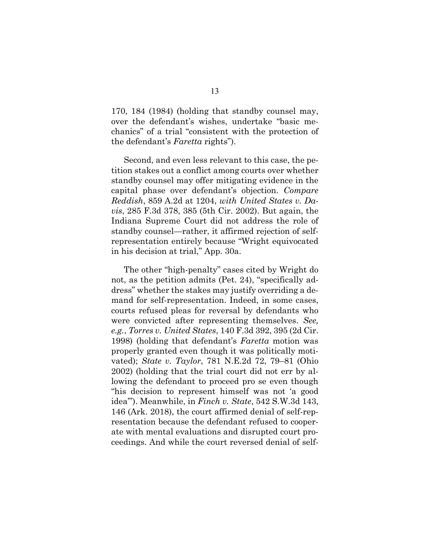170, 184 (1984) (holding that standby counsel may, over the defendant's wishes, undertake "basic mechanics" of a trial "consistent with the protection of the defendant's *Faretta* rights").

<span id="page-19-3"></span><span id="page-19-1"></span>Second, and even less relevant to this case, the petition stakes out a conflict among courts over whether standby counsel may offer mitigating evidence in the capital phase over defendant's objection. *Compare Reddish*, 859 A.2d at 1204, *with United States v. Davis*, 285 F.3d 378, 385 (5th Cir. 2002). But again, the Indiana Supreme Court did not address the role of standby counsel—rather, it affirmed rejection of selfrepresentation entirely because "Wright equivocated in his decision at trial," App. 30a.

<span id="page-19-4"></span><span id="page-19-2"></span><span id="page-19-0"></span>The other "high-penalty" cases cited by Wright do not, as the petition admits (Pet. 24), "specifically address" whether the stakes may justify overriding a demand for self-representation. Indeed, in some cases, courts refused pleas for reversal by defendants who were convicted after representing themselves. *See, e.g.*, *Torres v. United States*, 140 F.3d 392, 395 (2d Cir. 1998) (holding that defendant's *Faretta* motion was properly granted even though it was politically motivated); *State v. Taylor*, 781 N.E.2d 72, 79–81 (Ohio 2002) (holding that the trial court did not err by allowing the defendant to proceed pro se even though "his decision to represent himself was not 'a good idea'"). Meanwhile, in *Finch v. State*, 542 S.W.3d 143, 146 (Ark. 2018), the court affirmed denial of self-representation because the defendant refused to cooperate with mental evaluations and disrupted court proceedings. And while the court reversed denial of self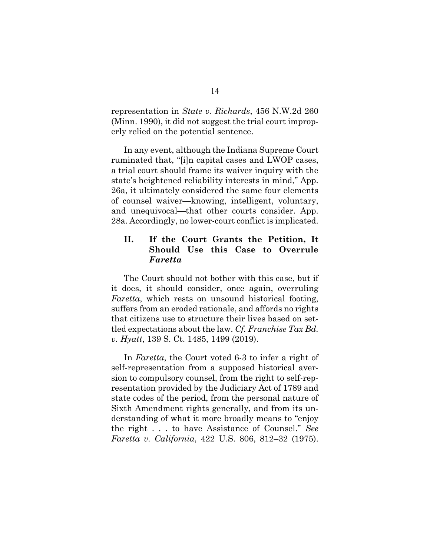<span id="page-20-1"></span>representation in *State v. Richards*, 456 N.W.2d 260 (Minn. 1990), it did not suggest the trial court improperly relied on the potential sentence.

In any event, although the Indiana Supreme Court ruminated that, "[i]n capital cases and LWOP cases, a trial court should frame its waiver inquiry with the state's heightened reliability interests in mind," App. 26a, it ultimately considered the same four elements of counsel waiver—knowing, intelligent, voluntary, and unequivocal—that other courts consider. App. 28a. Accordingly, no lower-court conflict is implicated.

### **II. If the Court Grants the Petition, It Should Use this Case to Overrule**  *Faretta*

The Court should not bother with this case, but if it does, it should consider, once again, overruling *Faretta*, which rests on unsound historical footing, suffers from an eroded rationale, and affords no rights that citizens use to structure their lives based on settled expectations about the law. *Cf. Franchise Tax Bd. v. Hyatt*, 139 S. Ct. 1485, 1499 (2019).

<span id="page-20-0"></span>In *Faretta*, the Court voted 6-3 to infer a right of self-representation from a supposed historical aversion to compulsory counsel, from the right to self-representation provided by the Judiciary Act of 1789 and state codes of the period, from the personal nature of Sixth Amendment rights generally, and from its understanding of what it more broadly means to "enjoy the right . . . to have Assistance of Counsel." *See Faretta v. California*, 422 U.S. 806, 812–32 (1975).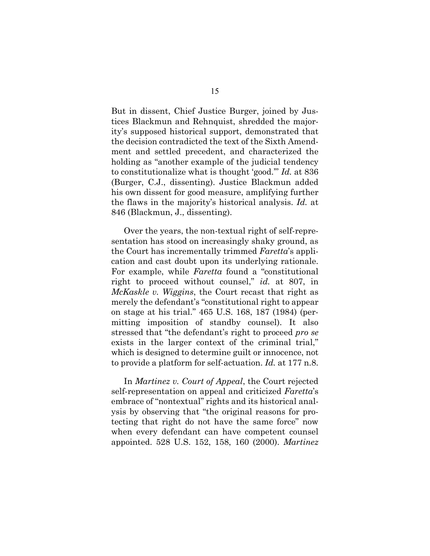But in dissent, Chief Justice Burger, joined by Justices Blackmun and Rehnquist, shredded the majority's supposed historical support, demonstrated that the decision contradicted the text of the Sixth Amendment and settled precedent, and characterized the holding as "another example of the judicial tendency to constitutionalize what is thought 'good.'" *Id.* at 836 (Burger, C.J., dissenting). Justice Blackmun added his own dissent for good measure, amplifying further the flaws in the majority's historical analysis. *Id.* at 846 (Blackmun, J., dissenting).

<span id="page-21-1"></span>Over the years, the non-textual right of self-representation has stood on increasingly shaky ground, as the Court has incrementally trimmed *Faretta*'s application and cast doubt upon its underlying rationale. For example, while *Faretta* found a "constitutional right to proceed without counsel," *id.* at 807, in *McKaskle v. Wiggins*, the Court recast that right as merely the defendant's "constitutional right to appear on stage at his trial." 465 U.S. 168, 187 (1984) (permitting imposition of standby counsel). It also stressed that "the defendant's right to proceed *pro se* exists in the larger context of the criminal trial," which is designed to determine guilt or innocence, not to provide a platform for self-actuation. *Id.* at 177 n.8.

<span id="page-21-0"></span>In *Martinez v. Court of Appeal*, the Court rejected self-representation on appeal and criticized *Faretta*'s embrace of "nontextual" rights and its historical analysis by observing that "the original reasons for protecting that right do not have the same force" now when every defendant can have competent counsel appointed. 528 U.S. 152, 158, 160 (2000). *Martinez*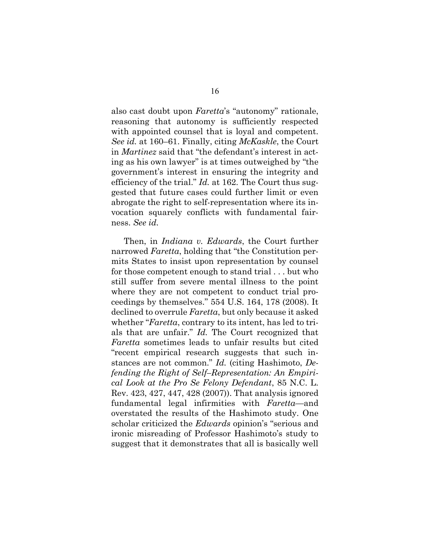<span id="page-22-1"></span>also cast doubt upon *Faretta*'s "autonomy" rationale, reasoning that autonomy is sufficiently respected with appointed counsel that is loyal and competent. *See id.* at 160–61. Finally, citing *McKaskle*, the Court in *Martinez* said that "the defendant's interest in acting as his own lawyer" is at times outweighed by "the government's interest in ensuring the integrity and efficiency of the trial." *Id.* at 162. The Court thus suggested that future cases could further limit or even abrogate the right to self-representation where its invocation squarely conflicts with fundamental fairness. *See id.*

<span id="page-22-2"></span><span id="page-22-0"></span>Then, in *Indiana v. Edwards*, the Court further narrowed *Faretta*, holding that "the Constitution permits States to insist upon representation by counsel for those competent enough to stand trial . . . but who still suffer from severe mental illness to the point where they are not competent to conduct trial proceedings by themselves." 554 U.S. 164, 178 (2008). It declined to overrule *Faretta*, but only because it asked whether "*Faretta*, contrary to its intent, has led to trials that are unfair." *Id.* The Court recognized that *Faretta* sometimes leads to unfair results but cited "recent empirical research suggests that such instances are not common." *Id.* (citing Hashimoto, *Defending the Right of Self–Representation: An Empirical Look at the Pro Se Felony Defendant*, 85 N.C. L. Rev. 423, 427, 447, 428 (2007)). That analysis ignored fundamental legal infirmities with *Faretta*—and overstated the results of the Hashimoto study. One scholar criticized the *Edwards* opinion's "serious and ironic misreading of Professor Hashimoto's study to suggest that it demonstrates that all is basically well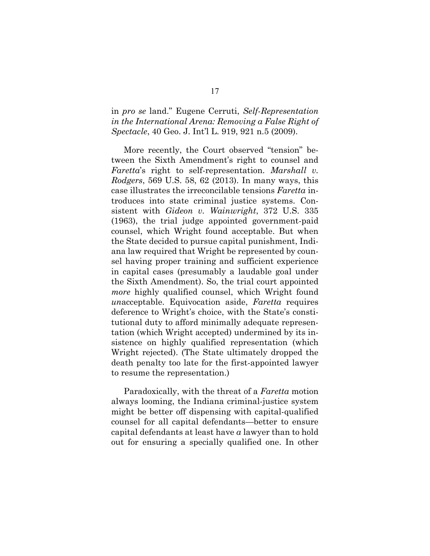in *pro se* land." Eugene Cerruti, *Self-Representation in the International Arena: Removing a False Right of Spectacle*, 40 Geo. J. Int'l L. 919, 921 n.5 (2009).

<span id="page-23-1"></span><span id="page-23-0"></span>More recently, the Court observed "tension" between the Sixth Amendment's right to counsel and *Faretta*'s right to self-representation. *Marshall v. Rodgers*, 569 U.S. 58, 62 (2013). In many ways, this case illustrates the irreconcilable tensions *Faretta* introduces into state criminal justice systems. Consistent with *Gideon v. Wainwright*, 372 U.S. 335 (1963), the trial judge appointed government-paid counsel, which Wright found acceptable. But when the State decided to pursue capital punishment, Indiana law required that Wright be represented by counsel having proper training and sufficient experience in capital cases (presumably a laudable goal under the Sixth Amendment). So, the trial court appointed *more* highly qualified counsel, which Wright found *un*acceptable. Equivocation aside, *Faretta* requires deference to Wright's choice, with the State's constitutional duty to afford minimally adequate representation (which Wright accepted) undermined by its insistence on highly qualified representation (which Wright rejected). (The State ultimately dropped the death penalty too late for the first-appointed lawyer to resume the representation.)

Paradoxically, with the threat of a *Faretta* motion always looming, the Indiana criminal-justice system might be better off dispensing with capital-qualified counsel for all capital defendants—better to ensure capital defendants at least have *a* lawyer than to hold out for ensuring a specially qualified one. In other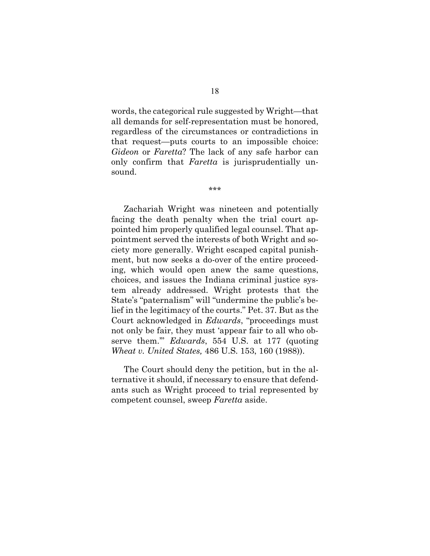words, the categorical rule suggested by Wright—that all demands for self-representation must be honored, regardless of the circumstances or contradictions in that request—puts courts to an impossible choice: *Gideon* or *Faretta*? The lack of any safe harbor can only confirm that *Faretta* is jurisprudentially unsound.

\*\*\*

Zachariah Wright was nineteen and potentially facing the death penalty when the trial court appointed him properly qualified legal counsel. That appointment served the interests of both Wright and society more generally. Wright escaped capital punishment, but now seeks a do-over of the entire proceeding, which would open anew the same questions, choices, and issues the Indiana criminal justice system already addressed. Wright protests that the State's "paternalism" will "undermine the public's belief in the legitimacy of the courts." Pet. 37. But as the Court acknowledged in *Edwards*, "proceedings must not only be fair, they must 'appear fair to all who observe them.'" *Edwards*, 554 U.S. at 177 (quoting *Wheat v. United States,* 486 U.S. 153, 160 (1988)).

<span id="page-24-1"></span><span id="page-24-0"></span>The Court should deny the petition, but in the alternative it should, if necessary to ensure that defendants such as Wright proceed to trial represented by competent counsel, sweep *Faretta* aside.